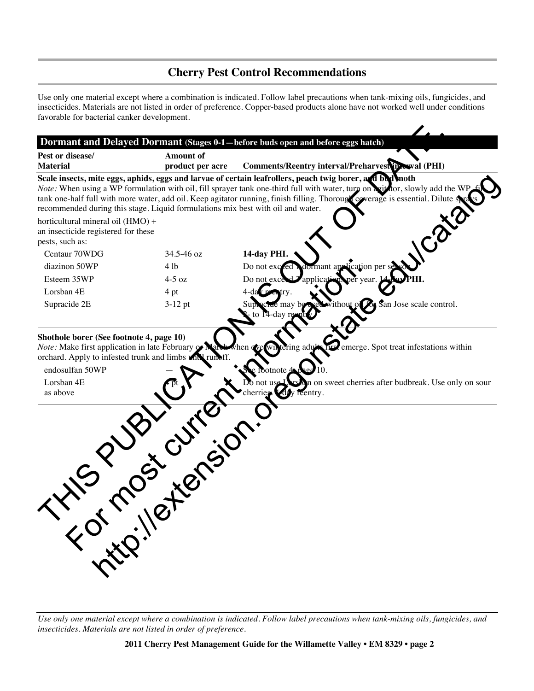### **Cherry Pest Control Recommendations**

Use only one material except where a combination is indicated. Follow label precautions when tank-mixing oils, fungicides, and insecticides. Materials are not listed in order of preference. Copper-based products alone have not worked well under conditions favorable for bacterial canker development.

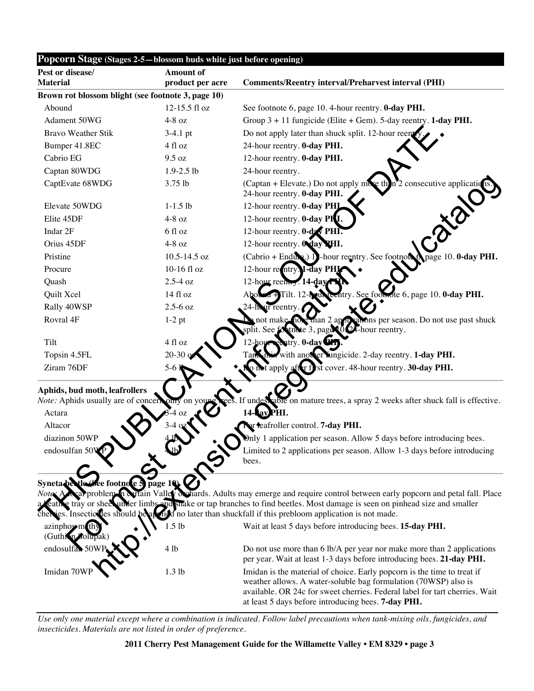| Popcorn Stage (Stages 2-5-blossom buds white just before opening) |                                 |                                                                                                                                                                                                                                                                                                                     |  |  |
|-------------------------------------------------------------------|---------------------------------|---------------------------------------------------------------------------------------------------------------------------------------------------------------------------------------------------------------------------------------------------------------------------------------------------------------------|--|--|
| Pest or disease/<br><b>Material</b>                               | Amount of<br>product per acre   | <b>Comments/Reentry interval/Preharvest interval (PHI)</b>                                                                                                                                                                                                                                                          |  |  |
| Brown rot blossom blight (see footnote 3, page 10)                |                                 |                                                                                                                                                                                                                                                                                                                     |  |  |
| Abound                                                            | 12-15.5 fl oz                   | See footnote 6, page 10. 4-hour reentry. 0-day PHI.                                                                                                                                                                                                                                                                 |  |  |
| Adament 50WG                                                      | $4-8$ oz                        | Group $3 + 11$ fungicide (Elite + Gem). 5-day reentry. 1-day PHI.                                                                                                                                                                                                                                                   |  |  |
| <b>Bravo Weather Stik</b>                                         | $3-4.1$ pt                      | Do not apply later than shuck split. 12-hour reent                                                                                                                                                                                                                                                                  |  |  |
| Bumper 41.8EC                                                     | 4 fl oz                         | 24-hour reentry. 0-day PHI.                                                                                                                                                                                                                                                                                         |  |  |
| Cabrio EG                                                         | 9.5 oz                          | 12-hour reentry. <b>0-day PHI.</b>                                                                                                                                                                                                                                                                                  |  |  |
| Captan 80WDG                                                      | $1.9 - 2.5$ lb                  | 24-hour reentry.                                                                                                                                                                                                                                                                                                    |  |  |
| CaptEvate 68WDG                                                   | 3.75 lb                         | (Captan + Elevate.) Do not apply $m_{\mathcal{C}}$ then $2$ consecutive applications<br>24-hour reentry. 0-day PHI.                                                                                                                                                                                                 |  |  |
| Elevate 50WDG                                                     | $1-1.5$ lb                      | 12-hour reentry. 0-day PHI                                                                                                                                                                                                                                                                                          |  |  |
| Elite 45DF                                                        | $4-8$ oz                        | 12-hour reentry. <b>0-day PHI.</b>                                                                                                                                                                                                                                                                                  |  |  |
| Indar 2F                                                          | 6 fl oz                         | 12-hour reentry. 0-dzy PHI                                                                                                                                                                                                                                                                                          |  |  |
| Orius 45DF                                                        | $4-8$ oz                        | 12-hour reentry. Orday VHI.                                                                                                                                                                                                                                                                                         |  |  |
| Pristine                                                          | 10.5-14.5 oz                    | (Cabrio + Enduxe.) 1 - hour reentry. See footnots of page 10. 0-day PHI.                                                                                                                                                                                                                                            |  |  |
| Procure                                                           | 10-16 fl oz                     | 12-hour re ntry. 1-day PHI                                                                                                                                                                                                                                                                                          |  |  |
| Quash                                                             | $2.5-4$ oz                      | 12-hour reem y. 14-day                                                                                                                                                                                                                                                                                              |  |  |
| Quilt Xcel                                                        | 14 fl oz                        | entry. See foothote 6, page 10. 0-day PHI.<br>Tilt. 12- <b>N</b>                                                                                                                                                                                                                                                    |  |  |
| Rally 40WSP                                                       | $2.5 - 6$ oz                    | our reentry.                                                                                                                                                                                                                                                                                                        |  |  |
| Rovral 4F                                                         | $1-2$ pt                        | han 2 apply abons per season. Do not use past shuck<br>those 3, page 00 F-hour reentry.                                                                                                                                                                                                                             |  |  |
| Tilt                                                              | 4 fl oz                         | $\frac{1}{2}$ $\frac{1}{2}$ $\frac{1}{2}$ $\frac{1}{2}$ $\frac{1}{2}$ $\frac{1}{2}$ $\frac{1}{2}$ $\frac{1}{2}$ $\frac{1}{2}$ $\frac{1}{2}$ $\frac{1}{2}$ $\frac{1}{2}$ $\frac{1}{2}$ $\frac{1}{2}$ $\frac{1}{2}$ $\frac{1}{2}$ $\frac{1}{2}$ $\frac{1}{2}$ $\frac{1}{2}$ $\frac{1}{2}$ $\frac{1}{2}$ $\frac{1}{2}$ |  |  |
| Topsin 4.5FL                                                      | $20 - 30$                       | with another lungicide. 2-day reentry. 1-day PHI.                                                                                                                                                                                                                                                                   |  |  |
| Ziram 76DF                                                        | $5-61$                          | on tapply after first cover. 48-hour reentry. 30-day PHI.                                                                                                                                                                                                                                                           |  |  |
| Aphids, bud moth, leafrollers                                     |                                 |                                                                                                                                                                                                                                                                                                                     |  |  |
| Note: Aphids usually are of concert only on you<br>Actara         |                                 | able on mature trees, a spray 2 weeks after shuck fall is effective.<br>If undes<br>PHI.                                                                                                                                                                                                                            |  |  |
| Altacor                                                           |                                 | or reafroller control. 7-day PHI.                                                                                                                                                                                                                                                                                   |  |  |
| diazinon 50WP                                                     |                                 | Only 1 application per season. Allow 5 days before introducing bees.                                                                                                                                                                                                                                                |  |  |
| endosulfan 50VP                                                   | LS                              | Limited to 2 applications per season. Allow 1-3 days before introducing<br>bees.                                                                                                                                                                                                                                    |  |  |
| Syneta be tle 6<br>Notes A                                        | Lee footnote 5 page 10 $\bm{Q}$ | problem in Ortain Valley dohards. Adults may emerge and require control between early popcorn and petal fall. Place                                                                                                                                                                                                 |  |  |
| g trav or sheet                                                   |                                 | under limbs and strake or tap branches to find beetles. Most damage is seen on pinhead size and smaller<br>cheries. Insecticities should be an individual no later than shuckfall if this prebloom application is not made.                                                                                         |  |  |
| azinphosem th<br>(Guthion Solupak)                                | $1.5$ lb                        | Wait at least 5 days before introducing bees. 15-day PHI.                                                                                                                                                                                                                                                           |  |  |
| endosulfan 50W                                                    | 4 lb                            | Do not use more than 6 lb/A per year nor make more than 2 applications<br>per year. Wait at least 1-3 days before introducing bees. 21-day PHI.                                                                                                                                                                     |  |  |
| Imidan 70WF                                                       | 1.3 lb                          | Imidan is the material of choice. Early popcorn is the time to treat if<br>weather allows. A water-soluble bag formulation (70WSP) also is<br>available. OR 24c for sweet cherries. Federal label for tart cherries. Wait<br>at least 5 days before introducing bees. 7-day PHI.                                    |  |  |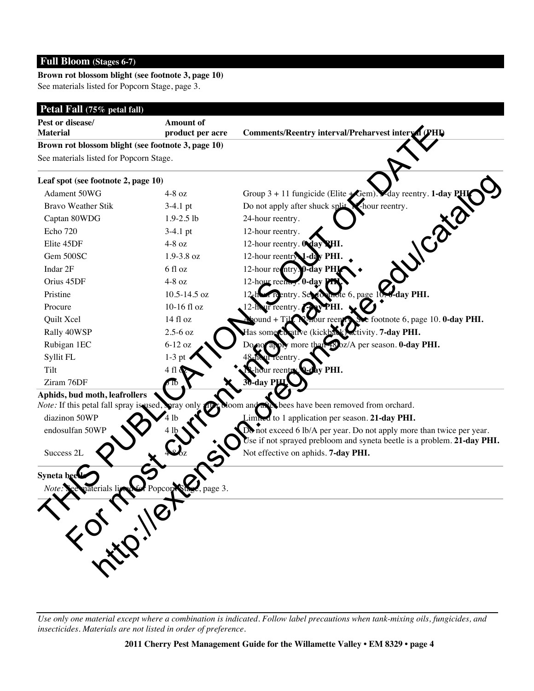### **Full Bloom (Stages 6-7)**

#### **Brown rot blossom blight (see footnote 3, page 10)** See materials listed for Popcorn Stage, page 3.

| Pest or disease/<br><b>Material</b>                                    | Amount of          |                                                                                   |
|------------------------------------------------------------------------|--------------------|-----------------------------------------------------------------------------------|
| product per acre<br>Brown rot blossom blight (see footnote 3, page 10) |                    | Comments/Reentry interval/Preharvest interval (PHL)                               |
| See materials listed for Popcorn Stage.                                |                    |                                                                                   |
|                                                                        |                    |                                                                                   |
| Leaf spot (see footnote 2, page 10)                                    |                    |                                                                                   |
| Adament 50WG                                                           | $4-8$ oz           | Group $3 + 11$ fungicide (Elite $\bigstar$ Gem). $\bullet$ day reentry. 1-day PHI |
| <b>Bravo Weather Stik</b>                                              | $3-4.1$ pt         | Do not apply after shuck split N-hour reentry.<br>UICata                          |
| Captan 80WDG                                                           | $1.9 - 2.5$ lb     | 24-hour reentry.                                                                  |
| Echo 720                                                               | $3-4.1$ pt         | 12-hour reentry.                                                                  |
| Elite 45DF                                                             | $4-8$ oz           | 12-hour reentry. Oday PHI.                                                        |
| Gem 500SC                                                              | 1.9-3.8 oz         | 12-hour reentry 1-day PHI.                                                        |
| Indar 2F                                                               | 6 fl oz            | 12-hour reentry. 0-day PHI                                                        |
| Orius 45DF                                                             | $4-8$ oz           | 12-hour reem, 0-day                                                               |
| Pristine                                                               | 10.5-14.5 oz       | $\mathbf{H}$ te 6, page 10.4 day PHI.<br>Teentry. See<br>$12$ <sub>s</sub> h      |
| Procure                                                                | 10-16 fl oz        | 12-hour reentry.                                                                  |
| Quilt Xcel                                                             | 14 fl oz           | See footnote 6, page 10. 0-day PHI.<br>ound + Ti <b>li</b><br>four reentry        |
| Rally 40WSP                                                            | $2.5 - 6$ oz       | ative (kickback) activity. 7-day PHI.<br>Has some cu                              |
| Rubigan 1EC                                                            | $6-12$ oz          | bz/A per season. <b>0-day PHI.</b><br>more tha                                    |
| Syllit FL                                                              | $1-3$ pt           | eentry                                                                            |
| Tilt                                                                   | 4 fl               | ay PHI.                                                                           |
| Ziram 76DF                                                             |                    | day PH                                                                            |
| Aphids, bud moth, leafrollers                                          |                    |                                                                                   |
| Note: If this petal fall spray is used, spray only                     |                    | bees have been removed from orchard.<br>oom and a                                 |
| diazinon 50WP                                                          |                    | Limited to 1 application per season. 21-day PHI.                                  |
| endosulfan 50WP                                                        |                    | Do not exceed 6 lb/A per year. Do not apply more than twice per year.             |
|                                                                        |                    | se if not sprayed prebloom and syneta beetle is a problem. 21-day PHI.            |
| Success 2L                                                             |                    | Not effective on aphids. 7-day PHI.                                               |
|                                                                        |                    |                                                                                   |
| Syneta bee                                                             |                    |                                                                                   |
| materials lig<br>Note: See                                             | page 3.<br>Popcore |                                                                                   |
|                                                                        |                    |                                                                                   |
|                                                                        |                    |                                                                                   |
| The Critical                                                           |                    |                                                                                   |
|                                                                        |                    |                                                                                   |
|                                                                        |                    |                                                                                   |
|                                                                        |                    |                                                                                   |
|                                                                        |                    |                                                                                   |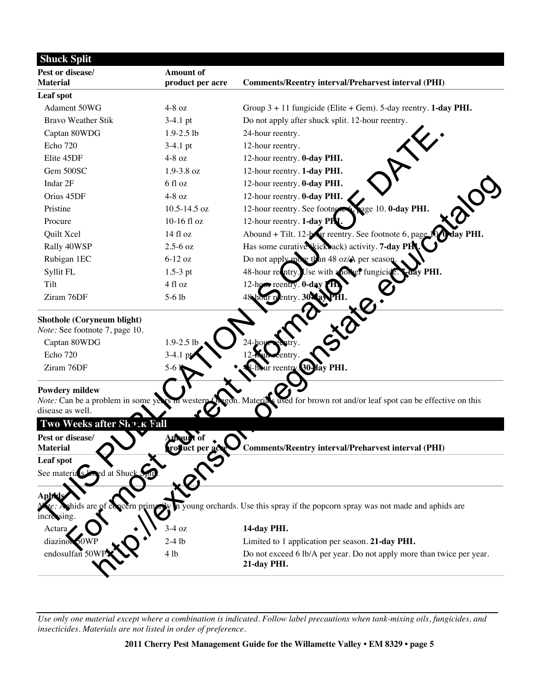| <b>Shuck Split</b>                                           |                              |                                                                                      |
|--------------------------------------------------------------|------------------------------|--------------------------------------------------------------------------------------|
| Pest or disease/                                             | <b>Amount of</b>             |                                                                                      |
| <b>Material</b>                                              | product per acre             | <b>Comments/Reentry interval/Preharvest interval (PHI)</b>                           |
| Leaf spot                                                    |                              |                                                                                      |
| Adament 50WG                                                 | $4-8$ oz                     | Group $3 + 11$ fungicide (Elite + Gem). 5-day reentry. <b>1-day PHI.</b>             |
| <b>Bravo Weather Stik</b>                                    | $3-4.1$ pt                   | Do not apply after shuck split. 12-hour reentry.                                     |
| Captan 80WDG                                                 | $1.9 - 2.5$ lb               | 24-hour reentry.                                                                     |
| Echo 720                                                     | $3-4.1$ pt                   | 12-hour reentry.                                                                     |
| Elite 45DF                                                   | $4-8$ oz                     | 12-hour reentry. <b>0-day PHI.</b>                                                   |
| Gem 500SC                                                    | 1.9-3.8 oz                   | 12-hour reentry. 1-day PHI.                                                          |
| Indar 2F                                                     | 6 fl oz                      | 12-hour reentry. <b>0-day PHI.</b>                                                   |
| Orius 45DF                                                   | $4-8$ oz                     | 12-hour reentry. 0-day PHI.                                                          |
| Pristine                                                     | 10.5-14.5 oz                 | age 10. 0-day PHI.<br>12-hour reentry. See footnote                                  |
| Procure                                                      | 10-16 fl oz                  | 12-hour reentry. 1-day PH.                                                           |
| Quilt Xcel                                                   | 14 fl oz                     | Abound + Tilt. 12-bour reentry. See footnote 6, page 1<br><b>v PHI.</b>              |
| Rally 40WSP                                                  | $2.5 - 6$ oz                 | Has some curative kick ack) activity. 7-day PH                                       |
| Rubigan 1EC                                                  | $6-12$ oz                    | Do not apply more than 48 oz/A per season                                            |
| Syllit FL                                                    | $1.5-3$ pt                   | PHI.<br>48-hour retury. Use with a not er fungicid                                   |
| Tilt                                                         | 4 fl oz                      | 12-hour reentry. 0-day                                                               |
| Ziram 76DF                                                   | $5-6$ lb                     | 48 hour re<br>entry. $30$                                                            |
| Shothole (Coryneum blight)<br>Note: See footnote 7, page 10. |                              |                                                                                      |
| Captan 80WDG                                                 | $1.9 - 2.5$ lb               |                                                                                      |
| Echo 720                                                     | $3-4.1$                      |                                                                                      |
| Ziram 76DF                                                   | $5-6$                        | 30-lay PHI.<br>ır reentry.                                                           |
| <b>Powdery mildew</b><br>Note: Can be a problem in some ye   |                              | for brown rot and/or leaf spot can be effective on this<br>Mater                     |
| disease as well.                                             |                              |                                                                                      |
| Two Weeks after Showk Fall                                   |                              |                                                                                      |
| Pest or disease/<br><b>Material</b>                          | Amount of<br>roquet per acte | <b>Comments/Reentry interval/Preharvest interval (PHI)</b>                           |
| Leaf spot                                                    |                              |                                                                                      |
| sed at Shuck<br>See materia s <sup>1</sup>                   |                              |                                                                                      |
| <b>Aphid</b><br>m primarily<br>phids are of<br>increasing.   |                              | in young orchards. Use this spray if the popcorn spray was not made and aphids are   |
| Actara                                                       | $3-4$ oz                     | 14-day PHI.                                                                          |
| diazinon 60WP                                                | $2-4$ lb                     | Limited to 1 application per season. 21-day PHI.                                     |
| endosulfan 50V                                               | 4 lb                         | Do not exceed 6 lb/A per year. Do not apply more than twice per year.<br>21-day PHI. |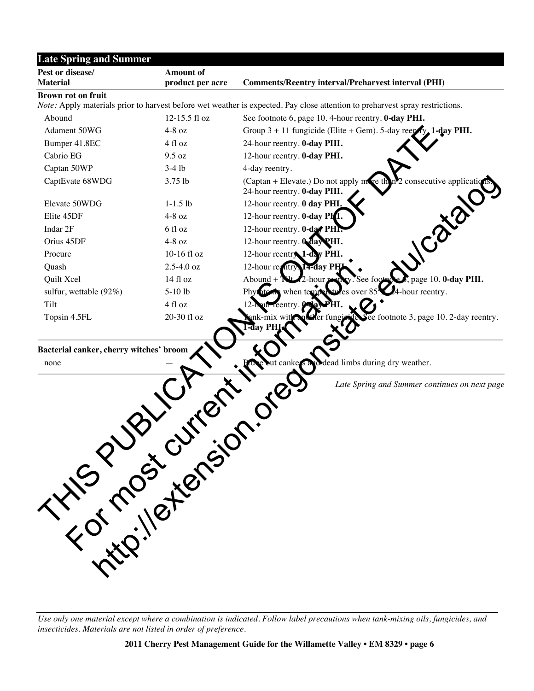| <b>Late Spring and Summer</b>                   |                                      |                                                                                                                              |
|-------------------------------------------------|--------------------------------------|------------------------------------------------------------------------------------------------------------------------------|
| Pest or disease/<br><b>Material</b>             | <b>Amount of</b><br>product per acre | <b>Comments/Reentry interval/Preharvest interval (PHI)</b>                                                                   |
| <b>Brown rot on fruit</b>                       |                                      |                                                                                                                              |
|                                                 |                                      | Note: Apply materials prior to harvest before wet weather is expected. Pay close attention to preharvest spray restrictions. |
| Abound                                          | 12-15.5 fl oz                        | See footnote 6, page 10. 4-hour reentry. 0-day PHI.                                                                          |
| Adament 50WG                                    | $4-8$ oz                             | Group $3 + 11$ fungicide (Elite + Gem). 5-day reeptly 1-day PHI.                                                             |
| Bumper 41.8EC                                   | 4 fl oz                              | 24-hour reentry. 0-day PHI.                                                                                                  |
| Cabrio EG                                       | 9.5 oz                               | 12-hour reentry. <b>0-day PHI.</b>                                                                                           |
| Captan 50WP                                     | $3-4$ lb                             | 4-day reentry.                                                                                                               |
| CaptEvate 68WDG                                 | 3.75 lb                              | (Captan + Elevate.) Do not apply more the<br>consecutive applicatio<br>24-hour reentry. 0-day PHI.                           |
| Elevate 50WDG                                   | $1-1.5$ lb                           | 12-hour reentry. 0 day PHI.                                                                                                  |
| Elite 45DF                                      | $4-8$ oz                             | 12-hour reentry. <b>0-day PHI.</b>                                                                                           |
| Indar 2F                                        | 6 fl oz                              | 12-hour reentry. 0-day PHP                                                                                                   |
| Orius 45DF                                      | $4-8$ oz                             | 12-hour reentry. 0 day PHI.                                                                                                  |
| Procure                                         | 10-16 fl oz                          | 12-hour reentry 1-day PHI.                                                                                                   |
| Quash                                           | $2.5 - 4.0$ oz                       | 12-hour regntry<br>14-day PH                                                                                                 |
| Quilt Xcel                                      | 14f1oz                               | page 10. 0-day PHI.<br>Abound +<br>y. See foot                                                                               |
| sulfur, wettable (92%)                          | $5-10$ lb                            | 24-hour reentry.<br>when temp<br>Phytoto<br>s over 85                                                                        |
| Tilt                                            | 4 fl oz                              | un reentry                                                                                                                   |
| Topsin 4.5FL                                    | 20-30 fl oz                          | ee footnote 3, page 10. 2-day reentry.<br>nk-mix w<br>-đav PH                                                                |
| Bacterial canker, cherry witches' broom<br>none |                                      | dead limbs during dry weather.<br>canke                                                                                      |
| INSPORT<br>Little iletteraio                    |                                      | Late Spring and Summer continues on next page                                                                                |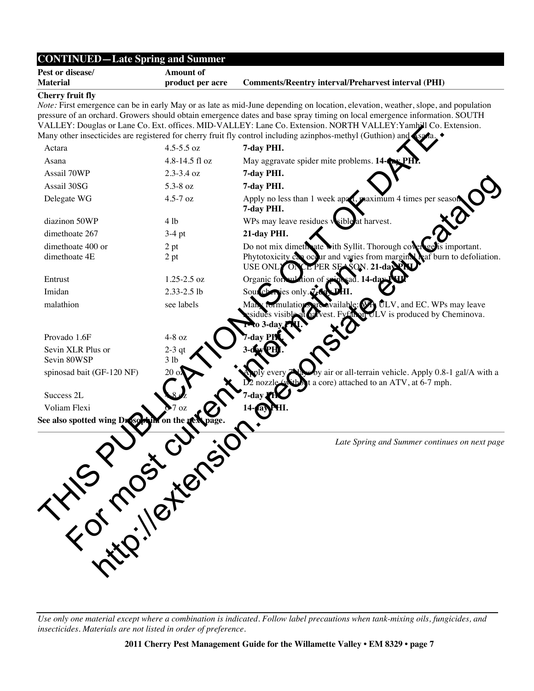| <b>Comments/Reentry interval/Preharvest interval (PHI)</b><br>Note: First emergence can be in early May or as late as mid-June depending on location, elevation, weather, slope, and population<br>pressure of an orchard. Growers should obtain emergence dates and base spray timing on local emergence information. SOUTH<br>VALLEY: Douglas or Lane Co. Ext. offices. MID-VALLEY: Lane Co. Extension. NORTH VALLEY: Yamhill Co. Extension.<br>Many other insecticides are registered for cherry fruit fly control including azinphos-methyl (Guthion) and<br>May aggravate spider mite problems. 14- <b>AV Pl</b><br>Apply no less than 1 week apa t, maximum 4 times per seaso<br>WPs may leave residues wsible at harvest. |
|----------------------------------------------------------------------------------------------------------------------------------------------------------------------------------------------------------------------------------------------------------------------------------------------------------------------------------------------------------------------------------------------------------------------------------------------------------------------------------------------------------------------------------------------------------------------------------------------------------------------------------------------------------------------------------------------------------------------------------|
|                                                                                                                                                                                                                                                                                                                                                                                                                                                                                                                                                                                                                                                                                                                                  |
|                                                                                                                                                                                                                                                                                                                                                                                                                                                                                                                                                                                                                                                                                                                                  |
|                                                                                                                                                                                                                                                                                                                                                                                                                                                                                                                                                                                                                                                                                                                                  |
|                                                                                                                                                                                                                                                                                                                                                                                                                                                                                                                                                                                                                                                                                                                                  |
|                                                                                                                                                                                                                                                                                                                                                                                                                                                                                                                                                                                                                                                                                                                                  |
|                                                                                                                                                                                                                                                                                                                                                                                                                                                                                                                                                                                                                                                                                                                                  |
|                                                                                                                                                                                                                                                                                                                                                                                                                                                                                                                                                                                                                                                                                                                                  |
|                                                                                                                                                                                                                                                                                                                                                                                                                                                                                                                                                                                                                                                                                                                                  |
|                                                                                                                                                                                                                                                                                                                                                                                                                                                                                                                                                                                                                                                                                                                                  |
| Do not mix dimeth ate with Syllit. Thorough cover get<br>important.                                                                                                                                                                                                                                                                                                                                                                                                                                                                                                                                                                                                                                                              |
| Phytotoxicity $c_{\alpha}$ occur and varies from margin $\lambda$ $\alpha$ burn to defoliation.<br>$E$ PER SEASON. 21-day P                                                                                                                                                                                                                                                                                                                                                                                                                                                                                                                                                                                                      |
| Organic formulation of<br>ad. 14-da                                                                                                                                                                                                                                                                                                                                                                                                                                                                                                                                                                                                                                                                                              |
| Sourch ries only. 7.da                                                                                                                                                                                                                                                                                                                                                                                                                                                                                                                                                                                                                                                                                                           |
| $\text{milable:} \mathbb{R}$ ULV, and EC. WPs may leave<br>on ULV is produced by Cheminova.                                                                                                                                                                                                                                                                                                                                                                                                                                                                                                                                                                                                                                      |
|                                                                                                                                                                                                                                                                                                                                                                                                                                                                                                                                                                                                                                                                                                                                  |
|                                                                                                                                                                                                                                                                                                                                                                                                                                                                                                                                                                                                                                                                                                                                  |
|                                                                                                                                                                                                                                                                                                                                                                                                                                                                                                                                                                                                                                                                                                                                  |
| y air or all-terrain vehicle. Apply 0.8-1 gal/A with a<br>a core) attached to an ATV, at 6-7 mph.                                                                                                                                                                                                                                                                                                                                                                                                                                                                                                                                                                                                                                |
|                                                                                                                                                                                                                                                                                                                                                                                                                                                                                                                                                                                                                                                                                                                                  |
|                                                                                                                                                                                                                                                                                                                                                                                                                                                                                                                                                                                                                                                                                                                                  |
|                                                                                                                                                                                                                                                                                                                                                                                                                                                                                                                                                                                                                                                                                                                                  |
| Late Spring and Summer continues on next page                                                                                                                                                                                                                                                                                                                                                                                                                                                                                                                                                                                                                                                                                    |
|                                                                                                                                                                                                                                                                                                                                                                                                                                                                                                                                                                                                                                                                                                                                  |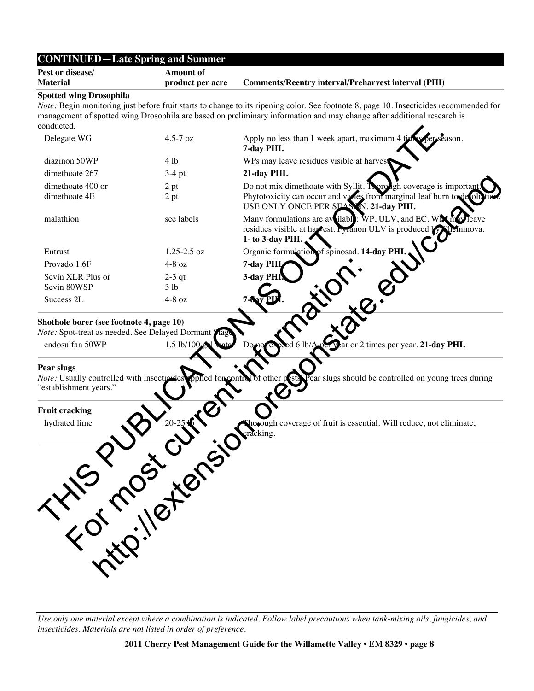| Pest or disease/                                                                                                                | <b>Amount of</b>            |                                                                                                                                                                                                                                                                  |
|---------------------------------------------------------------------------------------------------------------------------------|-----------------------------|------------------------------------------------------------------------------------------------------------------------------------------------------------------------------------------------------------------------------------------------------------------|
| <b>Material</b>                                                                                                                 | product per acre            | <b>Comments/Reentry interval/Preharvest interval (PHI)</b>                                                                                                                                                                                                       |
| <b>Spotted wing Drosophila</b><br>conducted.                                                                                    |                             | Note: Begin monitoring just before fruit starts to change to its ripening color. See footnote 8, page 10. Insecticides recommended for<br>management of spotted wing Drosophila are based on preliminary information and may change after additional research is |
| Delegate WG                                                                                                                     | $4.5 - 7$ oz                | Apply no less than 1 week apart, maximum 4 t<br>eason.<br>7-day PHI.                                                                                                                                                                                             |
| diazinon 50WP                                                                                                                   | 4 lb                        | WPs may leave residues visible at harvest                                                                                                                                                                                                                        |
| dimethoate 267                                                                                                                  | $3-4$ pt                    | 21-day PHI.                                                                                                                                                                                                                                                      |
| dimethoate 400 or<br>dimethoate 4E                                                                                              | 2 pt<br>2 pt                | Do not mix dimethoate with Syllit. Norough coverage is important<br>Phytotoxicity can occur and varies from marginal leaf burn to de ollati<br>USE ONLY ONCE PER SEASON. 21-day PHI.                                                                             |
| malathion                                                                                                                       | see labels                  | Many formulations are available: WP, ULV, and EC. Wix may<br>Teave<br>residues visible at har rest. Fyranon ULV is produced by Sheminova.<br>1- to 3-day PHI.                                                                                                    |
| Entrust                                                                                                                         | $1.25 - 2.5$ oz             | Organic formulation of spinosad. 14-day PHI                                                                                                                                                                                                                      |
| Provado 1.6F                                                                                                                    | $4-8$ oz                    | 7-day PHI                                                                                                                                                                                                                                                        |
| Sevin XLR Plus or<br>Sevin 80WSP                                                                                                | $2-3$ qt<br>3 <sub>lb</sub> | 3-day PHI                                                                                                                                                                                                                                                        |
| Success 2L                                                                                                                      | $4-8$ oz                    |                                                                                                                                                                                                                                                                  |
| Note: Spot-treat as needed. See Delayed Dormant {<br>endosulfan 50WP<br>Pear slugs<br>Note: Usually controlled with insecticide | $1.5$ lb/100 $\triangle$    | Var or 2 times per year. 21-day PHI.<br>ear slugs should be controlled on young trees during<br>pplied for control of other pests                                                                                                                                |
|                                                                                                                                 |                             | wough coverage of fruit is essential. Will reduce, not eliminate,<br>racking.                                                                                                                                                                                    |
| <b>Hitp://external</b>                                                                                                          |                             |                                                                                                                                                                                                                                                                  |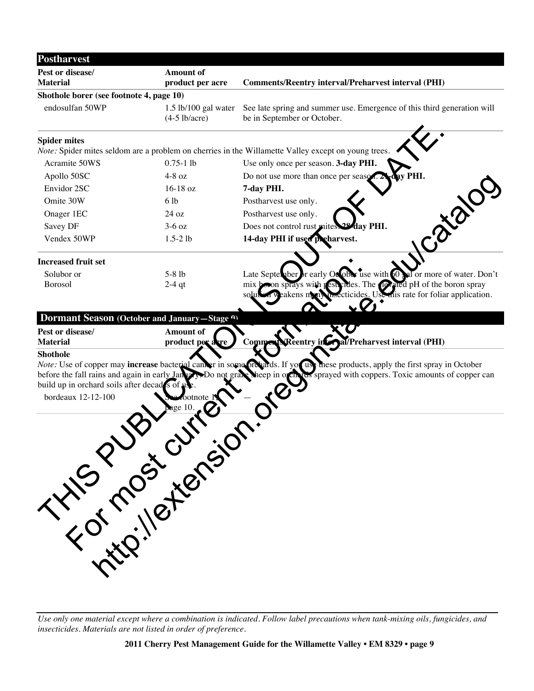| <b>Postharvest</b>                       |                                                               |                                                                                                                                                                                                                                 |
|------------------------------------------|---------------------------------------------------------------|---------------------------------------------------------------------------------------------------------------------------------------------------------------------------------------------------------------------------------|
| Pest or disease/<br><b>Material</b>      | <b>Amount of</b><br>product per acre                          | <b>Comments/Reentry interval/Preharvest interval (PHI)</b>                                                                                                                                                                      |
| Shothole borer (see footnote 4, page 10) |                                                               |                                                                                                                                                                                                                                 |
| endosulfan 50WP                          | $1.5$ lb/100 gal water<br>$(4-5$ lb/acre)                     | See late spring and summer use. Emergence of this third generation will<br>be in September or October.                                                                                                                          |
| <b>Spider mites</b>                      |                                                               | <i>Note:</i> Spider mites seldom are a problem on cherries in the Willamette Valley except on young trees                                                                                                                       |
| Acramite 50WS                            | $0.75 - 1$ lb                                                 | Use only once per season. 3-day PHI.                                                                                                                                                                                            |
| Apollo 50SC                              | $4-8$ oz                                                      | ay PHI.<br>Do not use more than once per seaso                                                                                                                                                                                  |
| Envidor 2SC                              | $16-18$ oz                                                    | 7-day PHI.                                                                                                                                                                                                                      |
| Omite 30W                                | 6 lb                                                          | Postharvest use only.                                                                                                                                                                                                           |
| Onager 1EC                               | 24 oz                                                         | Postharvest use only.                                                                                                                                                                                                           |
| Savey DF                                 | $3-6$ oz                                                      | Does not control rust mites.<br><b>Aday PHI.</b>                                                                                                                                                                                |
| Vendex 50WP                              | $1.5 - 2 lb$                                                  | Catalo<br>14-day PHI if used preharvest.                                                                                                                                                                                        |
| <b>Increased fruit set</b>               |                                                               |                                                                                                                                                                                                                                 |
| Solubor or<br><b>Borosol</b>             | $5-8$ lb<br>$2-4$ qt                                          | or early October use with 00 sol or more of water. Don't<br>Late September<br>mix boson sprays with nest vides. The next ated pH of the boron spray<br>ecticides. Use this rate for foliar application.<br>weakens mon<br>solut |
|                                          | Dormant Season (October and January-Stage <sup>a)</sup>       |                                                                                                                                                                                                                                 |
| Pest or disease/<br><b>Material</b>      | Amount of<br>product per arre                                 | Reentry in Grad/Preharvest interval (PHI)<br>Comme                                                                                                                                                                              |
| <b>Shothole</b>                          | before the fall rains and again in early January Do not grace | Note: Use of copper may increase bacterial cancer in some orderds. If you use these products, apply the first spray in October<br>rus sprayed with coppers. Toxic amounts of copper can<br>heep in orch                         |
|                                          | History Cutters of                                            |                                                                                                                                                                                                                                 |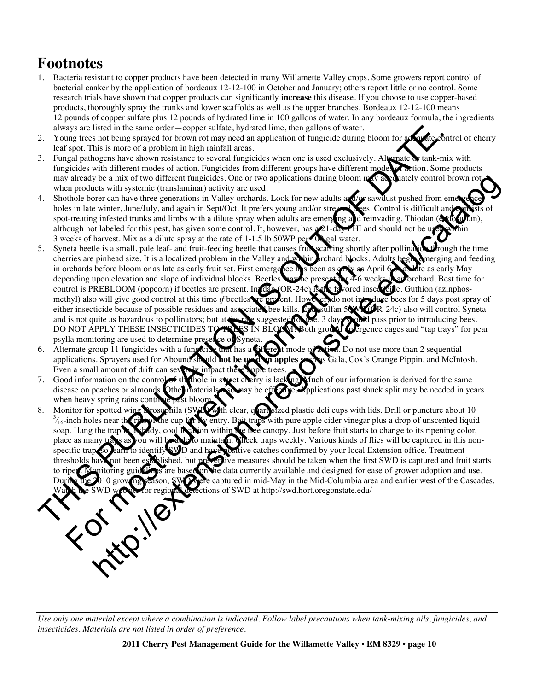## **Footnotes**

- 1. Bacteria resistant to copper products have been detected in many Willamette Valley crops. Some growers report control of bacterial canker by the application of bordeaux 12-12-100 in October and January; others report little or no control. Some research trials have shown that copper products can significantly **increase** this disease. If you choose to use copper-based products, thoroughly spray the trunks and lower scaffolds as well as the upper branches. Bordeaux 12-12-100 means 12 pounds of copper sulfate plus 12 pounds of hydrated lime in 100 gallons of water. In any bordeaux formula, the ingredients always are listed in the same order—copper sulfate, hydrated lime, then gallons of water.
- 2. Young trees not being sprayed for brown rot may need an application of fungicide during bloom for adopted control of cherry leaf spot. This is more of a problem in high rainfall areas.
- 3. Fungal pathogens have shown resistance to several fungicides when one is used exclusively. Alternate  $\bullet$  tank-mix with fungicides with different modes of action. Fungicides from different groups have different modes of action. Some products may already be a mix of two different fungicides. One or two applications during bloom may adequately control brown rot when products with systemic (translaminar) activity are used.
- 4. Shothole borer can have three generations in Valley orchards. Look for new adults and/or sawdust pushed from eme holes in late winter, June/July, and again in Sept/Oct. It prefers young and/or stressed trees. Control is difficult and spot-treating infested trunks and limbs with a dilute spray when adults are emerging and reinvading. Thiodan (eq.  $\alpha$ ) although not labeled for this pest, has given some control. It, however, has  $\mathcal{D}1$ -day PHI and should not be use 3 weeks of harvest. Mix as a dilute spray at the rate of 1-1.5 lb 50WP per  $10\$  gal water.
- 5. Syneta beetle is a small, pale leaf- and fruit-feeding beetle that causes fruit scarring shortly after pollination through the time cherries are pinhead size. It is a localized problem in the Valley and whind rehard blo cherries are pinhead size. It is a localized problem in the Valley and white brochard blocks. Adults begin emerging and feeding in orchards before bloom or as late as early fruit set. First emergence has been as gong as April 6 and the as early May depending upon elevation and slope of individual blocks. Beetles may be present for 4-6 weeks in an orchard. Best time for control is PREBLOOM (popcorn) if beetles are present. Im**idan (OR-24c) is the favored insection** e. Guthion (azinphosmethyl) also will give good control at this time *if* beetles are present. However, do not introduce bees for 5 days post spray of either insecticide because of possible residues and associated bee kills. Endosulfan 50WP (OR-24c) also will control Syneta and is not quite as hazardous to pollinators; but at the rate suggested for use, 3 days showled pass prior to introducing bees. DO NOT APPLY THESE INSECTICIDES TO TREES IN BLOOM! Both ground to reference cages and "tap trays" for pear psylla monitoring are used to determine pre The term of the control in the same of the corporation in the particular line when the same of properties of the same of the same of the same of the same of the same of the same of the same of the same of the same of the y les mix of note different francésise. Gne or Woo applications during bloom and Solution bloom in the set of the set of the set of the set of the set of the set of the set of the set of the set of the set of the set of t
- 6. Alternate group 11 fungicides with a fungicide that has a **Ciferent** mode of action. Do not use more than 2 sequential applications. Sprayers used for Abound should **not be used on apples** such as Gala, Cox's Orange Pippin, and McIntosh. Even a small amount of drift can severely im
- 7. Good information on the control of shothole in sweet cherry is lacking. Much of our information is derived for the same disease on peaches or almonds. Other materials also may be eff  $\alpha$  re. Applications past shuck split may be needed in years when heavy spring rains continue
- 8. Monitor for spotted wing Drosophila (SWD) with clear, quart-sized plastic deli cups with lids. Drill or puncture about 10  $\frac{3}{16}$  inch holes near the rill on Mne cup for Ny entry. Bait traps with pure apple cider vi with pure apple cider vinegar plus a drop of unscented liquid soap. Hang the trap  $\mathbb{R}$  a shady, cool location within the tree canopy. Just before fruit starts to change to its ripening color, place as many traps as you will be able to maintain. Check traps weekly. Various kinds of flies will be captured in this nonspecific trap, so learn to identify SWD and have positive catches confirmed by your local Extension office. Treatment thresholds have not been established, but preventive measures should be taken when the first SWD is captured and fruit starts to data currently available and designed for ease of grower adoption and use. captured in mid-May in the Mid-Columbia area and earlier west of the Cascades. tions of SWD at http://swd.hort.oregonstate.edu/ Free are phonology and the state of the state of the state of the state of the state of the state of the state of the state of the state of the state of the state of the state of the state of the state of the state of the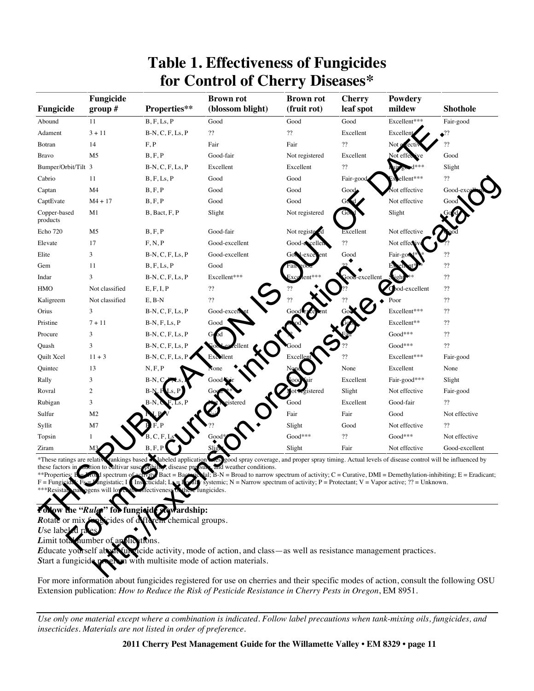| Fungicide                | Fungicide<br>group $#$ | Properties**       | <b>Brown rot</b><br>(blossom blight) | <b>Brown rot</b><br>(fruit rot) | <b>Cherry</b><br>leaf spot | Powdery<br>mildew | <b>Shothole</b>         |
|--------------------------|------------------------|--------------------|--------------------------------------|---------------------------------|----------------------------|-------------------|-------------------------|
| Abound                   | 11                     | B, F, Ls, P        | Good                                 | Good                            | Good                       | Excellent***      | Fair-good               |
| Adament                  | $3 + 11$               | $B-N, C, F, Ls, P$ | $\boldsymbol{?}$                     | $\boldsymbol{?}$                | Excellent                  | Excellent         | $\bullet$ <sup>22</sup> |
| Botran                   | 14                     | F, P               | Fair                                 | Fair                            | ??                         | Not e<br>rec      | ??                      |
| <b>Bravo</b>             | M <sub>5</sub>         | B, F, P            | Good-fair                            | Not registered                  | Excellent                  | Not effe          | Good                    |
| Bumper/Orbit/Tilt 3      |                        | $B-N, C, F, Ls, P$ | Excellent                            | Excellent                       | $\gamma\gamma$             |                   | Slight                  |
| Cabrio                   | 11                     | B, F, Ls, P        | Good                                 | Good                            | Fair-good                  | ellent***         | ??                      |
| Captan                   | M4                     | B, F, P            | Good                                 | Good                            | Good                       | lot effective     | Good-ex                 |
| CaptEvate                | $M4 + 17$              | B, F, P            | Good                                 | Good                            |                            | Not effective     | Good                    |
| Copper-based<br>products | M1                     | B, Bact, F, P      | Slight                               | Not registered                  |                            | Slight            |                         |
| Echo 720                 | M <sub>5</sub>         | B, F, P            | Good-fair                            | Not regist                      | Excellent                  | Not effective     |                         |
| Elevate                  | 17                     | F, N, P            | Good-excellent                       | Good-excelle                    | 22                         | Not effec         |                         |
| Elite                    | 3                      | $B-N, C, F, Ls, P$ | Good-excellent                       | Good-exc                        | Good                       | Fair-go           | ??                      |
| Gem                      | 11                     | B, F, Ls, P        | Good                                 |                                 |                            |                   | ??                      |
| Indar                    | 3                      | $B-N, C, F, Ls, P$ | Excellent***                         |                                 | excellent                  |                   | ??                      |
| <b>HMO</b>               | Not classified         | E, F, I, P         | $\cdot$ ??                           |                                 |                            | od-excellent      | ??                      |
| Kaligreem                | Not classified         | $E$ , $B-N$        | $\boldsymbol{?}$                     |                                 |                            | Poor              | ??                      |
| Orius                    | 3                      | $B-N, C, F, Ls, P$ | Good-excel                           |                                 |                            | Excellent***      | ??                      |
| Pristine                 | $7 + 11$               | $B-N, F, Ls, P$    | Good                                 |                                 |                            | Excellent**       | ??                      |
| Procure                  | 3                      | $B-N, C, F, Ls, P$ |                                      |                                 |                            | Good***           | ??                      |
| Quash                    | 3                      | $B-N, C, F, Ls, P$ |                                      |                                 |                            | Good***           | $\mathcal{P}^{\prime}$  |
| Quilt Xcel               | $11 + 3$               | $B-N, C, F, Ls, P$ | Excollent                            | Excel                           | 22                         | Excellent***      | Fair-good               |
| Quintec                  | 13                     | N, F, P            |                                      |                                 | None                       | Excellent         | None                    |
| Rally                    | 3                      | B-N                | Good                                 |                                 | Excellent                  | Fair-good***      | Slight                  |
| Rovral                   | 2                      |                    |                                      | gistered                        | Slight                     | Not effective     | Fair-good               |
| Rubigan                  | 3                      |                    | stered                               | Good                            | Excellent                  | Good-fair         | ??                      |
| Sulfur                   | M <sub>2</sub>         |                    |                                      | Fair                            | Fair                       | Good              | Not effective           |
| Syllit                   | M7                     |                    |                                      | Slight                          | Good                       | Not effective     | ??                      |
| Topsin                   |                        |                    |                                      | Good***                         | $\gamma\gamma$             | Good***           | Not effective           |
| Ziram                    | М3                     |                    | Sli                                  | Slight                          | Fair                       | Not effective     | Good-excellent          |

## **Table 1. Effectiveness of Fungicides for Control of Cherry Diseases\***

### fungicide **Rewardship:**

For more information about fungicides registered for use on cherries and their specific modes of action, consult the following OSU Extension publication: *How to Reduce the Risk of Pesticide Resistance in Cherry Pests in Oregon*, EM 8951.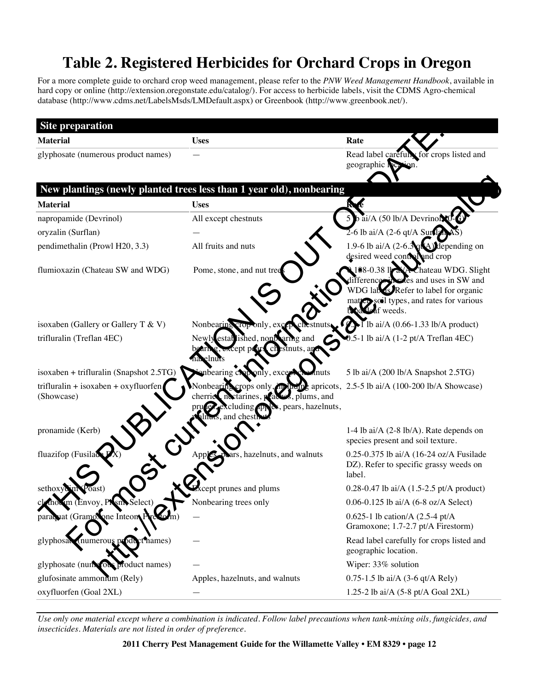# **Table 2. Registered Herbicides for Orchard Crops in Oregon**

For a more complete guide to orchard crop weed management, please refer to the *PNW Weed Management Handbook*, available in hard copy or online (http://extension.oregonstate.edu/catalog/). For access to herbicide labels, visit the CDMS Agro-chemical database (http://www.cdms.net/LabelsMsds/LMDefault.aspx) or Greenbook (http://www.greenbook.net/).

| <b>Site preparation</b>                              |                                                                                                                                                                                  |                                                                                                                                                                                            |
|------------------------------------------------------|----------------------------------------------------------------------------------------------------------------------------------------------------------------------------------|--------------------------------------------------------------------------------------------------------------------------------------------------------------------------------------------|
| <b>Material</b>                                      | <b>Uses</b>                                                                                                                                                                      | Rate                                                                                                                                                                                       |
| glyphosate (numerous product names)                  |                                                                                                                                                                                  | Read label carefully for crops listed and<br>geographic Nection.                                                                                                                           |
|                                                      | New plantings (newly planted trees less than 1 year old), nonbearing                                                                                                             |                                                                                                                                                                                            |
| <b>Material</b>                                      | <b>Uses</b>                                                                                                                                                                      |                                                                                                                                                                                            |
| napropamide (Devrinol)                               | All except chestnuts                                                                                                                                                             | 5 b ai/A (50 lb/A Devrinor)                                                                                                                                                                |
| oryzalin (Surflan)                                   |                                                                                                                                                                                  | $2-6$ lb ai/A $(2-6$ qt/A SurflamAS                                                                                                                                                        |
| pendimethalin (Prowl H20, 3.3)                       | All fruits and nuts                                                                                                                                                              | 1.9-6 lb ai/A $(2-6.3\text{g}(\text{A}))$ depending on<br>desired weed control and crop                                                                                                    |
| flumioxazin (Chateau SW and WDG)                     | Pome, stone, and nut tre                                                                                                                                                         | $188 - 0.38$ $1\rightarrow$<br>Chateau WDG. Slight<br>les and uses in SW and<br>WDG laborated Refer to label for organic<br>matter soil types, and rates for various<br><b>Jeaf</b> weeds. |
| isoxaben (Gallery or Gallery T & V)                  | Nonbearing crop only, ex                                                                                                                                                         | $\overline{I}$ lb ai/A (0.66-1.33 lb/A product)                                                                                                                                            |
| trifluralin (Treflan 4EC)                            | Newly established, nonboaring and                                                                                                                                                | -1 lb ai/A (1-2 pt/A Treflan 4EC)                                                                                                                                                          |
| isoxaben + trifluralin (Snapshot 2.5TG)              | bearing croi<br>exce<br>tnuts                                                                                                                                                    | 5 lb ai/A (200 lb/A Snapshot 2.5TG)                                                                                                                                                        |
| $trifluralin + isoxaben + oxyfluorfen$<br>(Showcase) | Nonbearing crops only, <b>in the application</b> appriciation 2.5-5 lb ai/A (100-200 lb/A Showcase)<br>$\bullet$ , plums, and<br>cherrice, nectarines, peac<br>pears, hazelnuts, |                                                                                                                                                                                            |
| pronamide (Kerb)                                     |                                                                                                                                                                                  | 1-4 lb ai/ $A$ (2-8 lb/A). Rate depends on<br>species present and soil texture.                                                                                                            |
| fluazifop (Fusilad                                   | rs, hazelnuts, and walnuts                                                                                                                                                       | 0.25-0.375 lb ai/A (16-24 oz/A Fusilade<br>DZ). Refer to specific grassy weeds on<br>label.                                                                                                |
| sethoxy                                              | pt prunes and plums                                                                                                                                                              | 0.28-0.47 lb ai/A $(1.5{\text -}2.5 \text{ pt/A} \text{ product})$                                                                                                                         |
| thos im (Envoy,<br>'N sm<br>Select)                  | Nonbearing trees only                                                                                                                                                            | 0.06-0.125 lb ai/A (6-8 oz/A Select)                                                                                                                                                       |
| paraquat (Gramotone Inteont Press)                   |                                                                                                                                                                                  | 0.625-1 lb cation/A $(2.5-4 \text{ pt/A})$<br>Gramoxone; 1.7-2.7 pt/A Firestorm)                                                                                                           |
| glyphosal (numerous product names)                   |                                                                                                                                                                                  | Read label carefully for crops listed and<br>geographic location.                                                                                                                          |
| glyphosate (numerous product names)                  |                                                                                                                                                                                  | Wiper: 33% solution                                                                                                                                                                        |
| glufosinate ammonium (Rely)                          | Apples, hazelnuts, and walnuts                                                                                                                                                   | 0.75-1.5 lb ai/A (3-6 qt/A Rely)                                                                                                                                                           |
| oxyfluorfen (Goal 2XL)                               |                                                                                                                                                                                  | 1.25-2 lb ai/A (5-8 pt/A Goal 2XL)                                                                                                                                                         |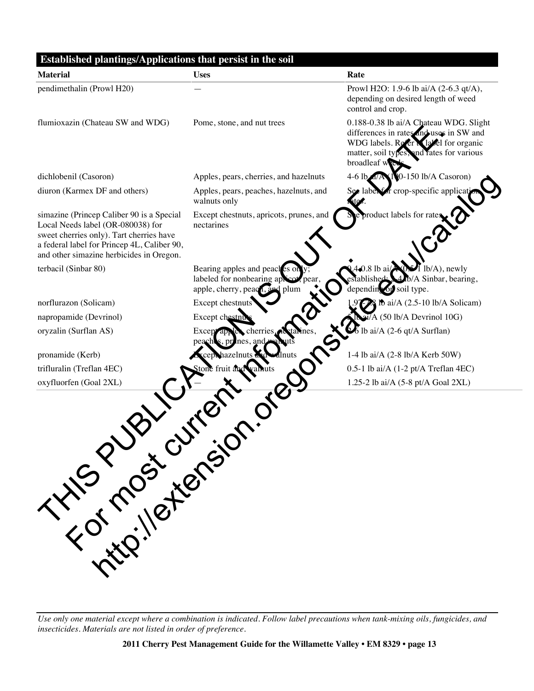| pendimethalin (Prowl H20)                                                                                                                                                                                                           | Prowl H2O: 1.9-6 lb ai/A (2-6.3 qt/A),<br>depending on desired length of weed<br>control and crop.                                                                                                                   |  |
|-------------------------------------------------------------------------------------------------------------------------------------------------------------------------------------------------------------------------------------|----------------------------------------------------------------------------------------------------------------------------------------------------------------------------------------------------------------------|--|
| flumioxazin (Chateau SW and WDG)                                                                                                                                                                                                    |                                                                                                                                                                                                                      |  |
|                                                                                                                                                                                                                                     | 0.188-0.38 lb ai/A Chateau WDG. Slight<br>Pome, stone, and nut trees<br>differences in rates and uses in SW and<br>WDG labels. Refer a label for organic<br>matter, soil types, and rates for various<br>broadleaf w |  |
| dichlobenil (Casoron)                                                                                                                                                                                                               | 0-150 lb/A Casoron)<br>Apples, pears, cherries, and hazelnuts<br>$4-6$ lb                                                                                                                                            |  |
| diuron (Karmex DF and others)<br>walnuts only                                                                                                                                                                                       | r crop-specific applicati<br>Apples, pears, peaches, hazelnuts, and<br>ite                                                                                                                                           |  |
| simazine (Princep Caliber 90 is a Special<br>Local Needs label (OR-080038) for<br>nectarines<br>sweet cherries only). Tart cherries have<br>a federal label for Princep 4L, Caliber 90,<br>and other simazine herbicides in Oregon. | product labels for rates<br>Except chestnuts, apricots, prunes, and                                                                                                                                                  |  |
| terbacil (Sinbar 80)                                                                                                                                                                                                                | $\triangle$ 0.8 lb ai<br>Bearing apples and peaches on<br>$lb/A$ ), newly<br>labeled for nonbearing apricot<br>»/A Sinbar, bearing,<br>tablishec<br>depending on soil type.<br>apple, cherry, peach<br>plum          |  |
| norflurazon (Solicam)                                                                                                                                                                                                               | Except chestnuts<br>$\sqrt{28}$ lb ai/A (2.5-10 lb/A Solicam)                                                                                                                                                        |  |
| napropamide (Devrinol)                                                                                                                                                                                                              | al/A (50 lb/A Devrinol 10G)<br>Except chestnu                                                                                                                                                                        |  |
| oryzalin (Surflan AS)<br><b>Except</b><br>peachl                                                                                                                                                                                    | lb ai/A (2-6 qt/A Surflan)<br>cherries<br>nes. and                                                                                                                                                                   |  |
| pronamide (Kerb)                                                                                                                                                                                                                    | 1-4 lb ai/A (2-8 lb/A Kerb 50W)<br>cept hazelnuts                                                                                                                                                                    |  |
| trifluralin (Treflan 4EC)<br>tone fruit a                                                                                                                                                                                           | $0.5-1$ lb ai/A $(1-2 \text{ pt/A Treflan 4EC})$                                                                                                                                                                     |  |
| oxyfluorfen (Goal 2XL)<br>Trip ileters                                                                                                                                                                                              | 1.25-2 lb ai/A (5-8 pt/A Goal 2XL)                                                                                                                                                                                   |  |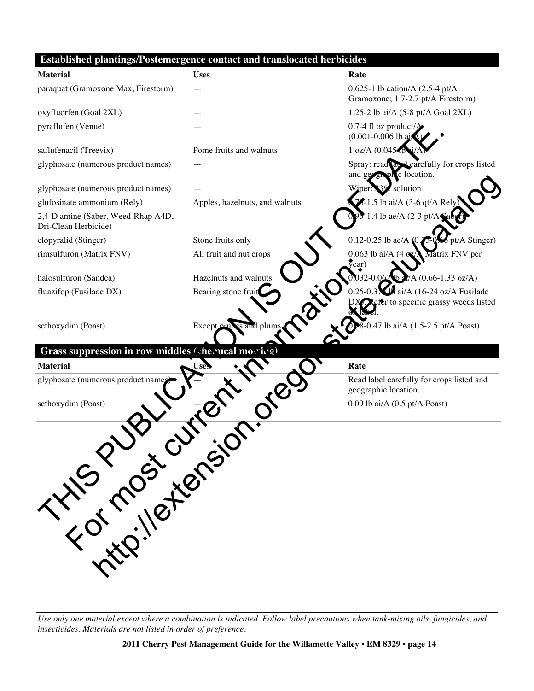### **Established plantings/Postemergence contact and translocated herbicides**

| <b>Material</b>                                            | <b>Uses</b>                    | Rate                                                                                      |
|------------------------------------------------------------|--------------------------------|-------------------------------------------------------------------------------------------|
| paraquat (Gramoxone Max, Firestorm)                        |                                | 0.625-1 lb cation/A $(2.5-4 \text{ pt/A})$<br>Gramoxone; 1.7-2.7 pt/A Firestorm)          |
| oxyfluorfen (Goal 2XL)                                     |                                | 1.25-2 lb ai/A (5-8 pt/A Goal 2XL)                                                        |
| pyraflufen (Venue)                                         |                                | 0.7-4 fl oz product/ $A$<br>$(0.001 - 0.006$ lb aid                                       |
| saflufenacil (Treevix)                                     | Pome fruits and walnuts        | 1 oz/A (0.04540                                                                           |
| glyphosate (numerous product names)                        |                                | Spray: read and carefully for crops listed<br>graphic location.<br>and ge                 |
| glyphosate (numerous product names)                        |                                | solution<br>Wiper                                                                         |
| glufosinate ammonium (Rely)                                | Apples, hazelnuts, and walnuts | 76-1.5 lb ai/A (3-6 qt/A Rely                                                             |
| 2,4-D amine (Saber, Weed-Rhap A4D,<br>Dri-Clean Herbicide) |                                | 1.4 lb ae/A $(2-3 \text{ pt/A})$                                                          |
| clopyralid (Stinger)                                       | Stone fruits only              | 0.12-0.25 lb ae/A $(0$<br>pt/A Stinger)                                                   |
| rimsulfuron (Matrix FNV)                                   | All fruit and nut crops        | 0.063 lb ai/A $(4 \text{ oz})$<br>Matrix FNV per<br>$\sqrt{2}$ ear)                       |
| halosulfuron (Sandea)                                      | Hazelnuts and walnuts          | 032-0.062 b 2/A (0.66-1.33 oz/A)                                                          |
| fluazifop (Fusilade DX)                                    | Bearing stone fruit            | $0.25 - 0.3$ $\vee$ ai/A (16-24 oz/A Fusilade<br><b>t</b> to specific grassy weeds listed |
| sethoxydim (Poast)                                         | Except pruh<br>as and plum     | 0.47 lb ai/A (1.5-2.5 pt/A Poast)                                                         |
| Grass suppression in row middles (cherucal movive)         |                                |                                                                                           |
| <b>Material</b>                                            | <b>Uses</b>                    | Rate                                                                                      |
| glyphosate (numerous product namer                         |                                | Read label carefully for crops listed and<br>geographic location.                         |
|                                                            |                                | $0.09$ lb ai/A $(0.5$ pt/A Poast)                                                         |
| THIS MOSTLETS                                              |                                |                                                                                           |